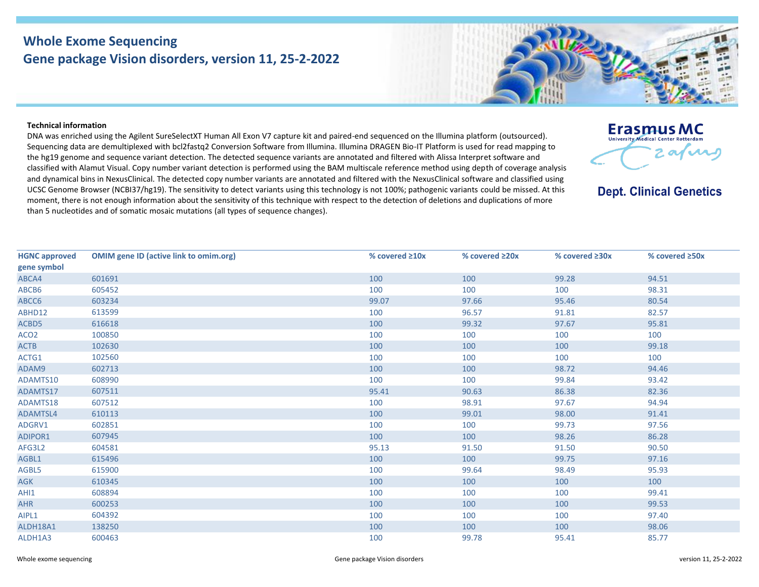## **Whole Exome Sequencing Gene package Vision disorders, version 11, 25-2-2022**

## **Technical information**

DNA was enriched using the Agilent SureSelectXT Human All Exon V7 capture kit and paired-end sequenced on the Illumina platform (outsourced). Sequencing data are demultiplexed with bcl2fastq2 Conversion Software from Illumina. Illumina DRAGEN Bio-IT Platform is used for read mapping to the hg19 genome and sequence variant detection. The detected sequence variants are annotated and filtered with Alissa Interpret software and classified with Alamut Visual. Copy number variant detection is performed using the BAM multiscale reference method using depth of coverage analysis and dynamical bins in NexusClinical. The detected copy number variants are annotated and filtered with the NexusClinical software and classified using UCSC Genome Browser (NCBI37/hg19). The sensitivity to detect variants using this technology is not 100%; pathogenic variants could be missed. At this moment, there is not enough information about the sensitivity of this technique with respect to the detection of deletions and duplications of more than 5 nucleotides and of somatic mosaic mutations (all types of sequence changes).

| <b>HGNC approved</b> | <b>OMIM gene ID (active link to omim.org)</b> | % covered $\geq 10x$ | % covered ≥20x | % covered ≥30x | % covered ≥50x |
|----------------------|-----------------------------------------------|----------------------|----------------|----------------|----------------|
| gene symbol          |                                               |                      |                |                |                |
| ABCA4                | 601691                                        | 100                  | 100            | 99.28          | 94.51          |
| ABCB6                | 605452                                        | 100                  | 100            | 100            | 98.31          |
| ABCC6                | 603234                                        | 99.07                | 97.66          | 95.46          | 80.54          |
| ABHD12               | 613599                                        | 100                  | 96.57          | 91.81          | 82.57          |
| ACBD5                | 616618                                        | 100                  | 99.32          | 97.67          | 95.81          |
| ACO <sub>2</sub>     | 100850                                        | 100                  | 100            | 100            | 100            |
| <b>ACTB</b>          | 102630                                        | 100                  | 100            | 100            | 99.18          |
| ACTG1                | 102560                                        | 100                  | 100            | 100            | 100            |
| ADAM9                | 602713                                        | 100                  | 100            | 98.72          | 94.46          |
| ADAMTS10             | 608990                                        | 100                  | 100            | 99.84          | 93.42          |
| ADAMTS17             | 607511                                        | 95.41                | 90.63          | 86.38          | 82.36          |
| ADAMTS18             | 607512                                        | 100                  | 98.91          | 97.67          | 94.94          |
| <b>ADAMTSL4</b>      | 610113                                        | 100                  | 99.01          | 98.00          | 91.41          |
| ADGRV1               | 602851                                        | 100                  | 100            | 99.73          | 97.56          |
| <b>ADIPOR1</b>       | 607945                                        | 100                  | 100            | 98.26          | 86.28          |
| AFG3L2               | 604581                                        | 95.13                | 91.50          | 91.50          | 90.50          |
| AGBL1                | 615496                                        | 100                  | 100            | 99.75          | 97.16          |
| AGBL5                | 615900                                        | 100                  | 99.64          | 98.49          | 95.93          |
| AGK                  | 610345                                        | 100                  | 100            | 100            | 100            |
| AHI1                 | 608894                                        | 100                  | 100            | 100            | 99.41          |
| <b>AHR</b>           | 600253                                        | 100                  | 100            | 100            | 99.53          |
| AIPL1                | 604392                                        | 100                  | 100            | 100            | 97.40          |
| ALDH18A1             | 138250                                        | 100                  | 100            | 100            | 98.06          |
| ALDH1A3              | 600463                                        | 100                  | 99.78          | 95.41          | 85.77          |





**Dept. Clinical Genetics**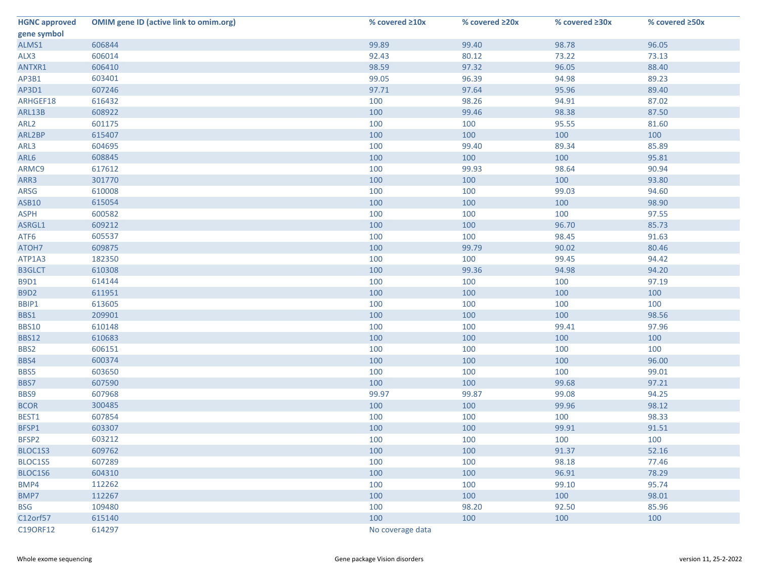| <b>HGNC approved</b> | <b>OMIM gene ID (active link to omim.org)</b> | % covered ≥10x   | % covered ≥20x | % covered ≥30x | % covered ≥50x |
|----------------------|-----------------------------------------------|------------------|----------------|----------------|----------------|
| gene symbol          |                                               |                  |                |                |                |
| ALMS1                | 606844                                        | 99.89            | 99.40          | 98.78          | 96.05          |
| ALX3                 | 606014                                        | 92.43            | 80.12          | 73.22          | 73.13          |
| ANTXR1               | 606410                                        | 98.59            | 97.32          | 96.05          | 88.40          |
| AP3B1                | 603401                                        | 99.05            | 96.39          | 94.98          | 89.23          |
| AP3D1                | 607246                                        | 97.71            | 97.64          | 95.96          | 89.40          |
| ARHGEF18             | 616432                                        | 100              | 98.26          | 94.91          | 87.02          |
| ARL13B               | 608922                                        | 100              | 99.46          | 98.38          | 87.50          |
| ARL <sub>2</sub>     | 601175                                        | 100              | 100            | 95.55          | 81.60          |
| ARL2BP               | 615407                                        | 100              | 100            | 100            | 100            |
| ARL3                 | 604695                                        | 100              | 99.40          | 89.34          | 85.89          |
| ARL6                 | 608845                                        | 100              | 100            | 100            | 95.81          |
| ARMC9                | 617612                                        | 100              | 99.93          | 98.64          | 90.94          |
| ARR3                 | 301770                                        | 100              | 100            | 100            | 93.80          |
| ARSG                 | 610008                                        | 100              | 100            | 99.03          | 94.60          |
| <b>ASB10</b>         | 615054                                        | 100              | 100            | 100            | 98.90          |
| <b>ASPH</b>          | 600582                                        | 100              | 100            | 100            | 97.55          |
| ASRGL1               | 609212                                        | 100              | 100            | 96.70          | 85.73          |
| ATF6                 | 605537                                        | 100              | 100            | 98.45          | 91.63          |
| ATOH7                | 609875                                        | 100              | 99.79          | 90.02          | 80.46          |
| ATP1A3               | 182350                                        | 100              | 100            | 99.45          | 94.42          |
| <b>B3GLCT</b>        | 610308                                        | 100              | 99.36          | 94.98          | 94.20          |
| <b>B9D1</b>          | 614144                                        | 100              | 100            | 100            | 97.19          |
| <b>B9D2</b>          | 611951                                        | 100              | 100            | 100            | 100            |
| BBIP1                | 613605                                        | 100              | 100            | 100            | 100            |
| BBS1                 | 209901                                        | 100              | 100            | 100            | 98.56          |
| <b>BBS10</b>         | 610148                                        | 100              | 100            | 99.41          | 97.96          |
| <b>BBS12</b>         | 610683                                        | 100              | 100            | 100            | 100            |
| BBS2                 | 606151                                        | 100              | 100            | 100            | 100            |
| BBS4                 | 600374                                        | 100              | 100            | 100            | 96.00          |
| BBS5                 | 603650                                        | 100              | 100            | 100            | 99.01          |
| BBS7                 | 607590                                        | 100              | 100            | 99.68          | 97.21          |
| BBS9                 | 607968                                        | 99.97            | 99.87          | 99.08          | 94.25          |
| <b>BCOR</b>          | 300485                                        | 100              | 100            | 99.96          | 98.12          |
| BEST1                | 607854                                        | 100              | 100            | 100            | 98.33          |
| BFSP1                | 603307                                        | 100              | 100            | 99.91          | 91.51          |
| BFSP2                | 603212                                        | 100              | 100            | 100            | 100            |
| BLOC1S3              | 609762                                        | 100              | 100            | 91.37          | 52.16          |
| BLOC1S5              | 607289                                        | 100              | 100            | 98.18          | 77.46          |
| BLOC1S6              | 604310                                        | 100              | 100            | 96.91          | 78.29          |
| BMP4                 | 112262                                        | 100              | 100            | 99.10          | 95.74          |
| BMP7                 | 112267                                        | 100              | 100            | 100            | 98.01          |
| <b>BSG</b>           | 109480                                        | 100              | 98.20          | 92.50          | 85.96          |
| C12orf57             | 615140                                        | 100              | 100            | 100            | 100            |
| C19ORF12             | 614297                                        | No coverage data |                |                |                |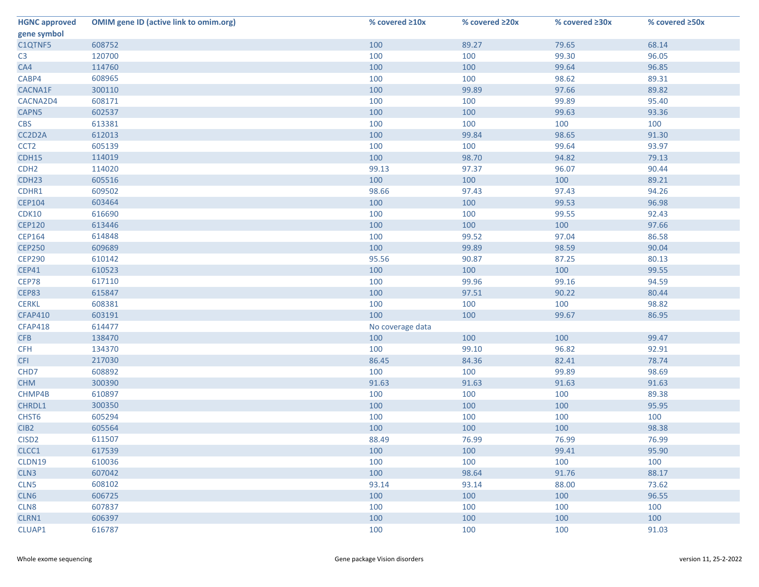| <b>HGNC approved</b> | <b>OMIM gene ID (active link to omim.org)</b> | % covered ≥10x   | % covered ≥20x | % covered ≥30x | % covered ≥50x |
|----------------------|-----------------------------------------------|------------------|----------------|----------------|----------------|
| gene symbol          |                                               |                  |                |                |                |
| C1QTNF5              | 608752                                        | 100              | 89.27          | 79.65          | 68.14          |
| C <sub>3</sub>       | 120700                                        | 100              | 100            | 99.30          | 96.05          |
| CA4                  | 114760                                        | 100              | 100            | 99.64          | 96.85          |
| CABP4                | 608965                                        | 100              | 100            | 98.62          | 89.31          |
| CACNA1F              | 300110                                        | 100              | 99.89          | 97.66          | 89.82          |
| CACNA2D4             | 608171                                        | 100              | 100            | 99.89          | 95.40          |
| CAPN5                | 602537                                        | 100              | 100            | 99.63          | 93.36          |
| <b>CBS</b>           | 613381                                        | 100              | 100            | 100            | 100            |
| CC2D2A               | 612013                                        | 100              | 99.84          | 98.65          | 91.30          |
| CCT <sub>2</sub>     | 605139                                        | 100              | 100            | 99.64          | 93.97          |
| CDH15                | 114019                                        | 100              | 98.70          | 94.82          | 79.13          |
| CDH <sub>2</sub>     | 114020                                        | 99.13            | 97.37          | 96.07          | 90.44          |
| CDH <sub>23</sub>    | 605516                                        | 100              | 100            | 100            | 89.21          |
| CDHR1                | 609502                                        | 98.66            | 97.43          | 97.43          | 94.26          |
| <b>CEP104</b>        | 603464                                        | 100              | 100            | 99.53          | 96.98          |
| <b>CDK10</b>         | 616690                                        | 100              | 100            | 99.55          | 92.43          |
| <b>CEP120</b>        | 613446                                        | 100              | 100            | 100            | 97.66          |
| <b>CEP164</b>        | 614848                                        | 100              | 99.52          | 97.04          | 86.58          |
| <b>CEP250</b>        | 609689                                        | 100              | 99.89          | 98.59          | 90.04          |
| <b>CEP290</b>        | 610142                                        | 95.56            | 90.87          | 87.25          | 80.13          |
| <b>CEP41</b>         | 610523                                        | 100              | 100            | 100            | 99.55          |
| CEP78                | 617110                                        | 100              | 99.96          | 99.16          | 94.59          |
| CEP83                | 615847                                        | 100              | 97.51          | 90.22          | 80.44          |
| <b>CERKL</b>         | 608381                                        | 100              | 100            | 100            | 98.82          |
| <b>CFAP410</b>       | 603191                                        | 100              | 100            | 99.67          | 86.95          |
| <b>CFAP418</b>       | 614477                                        | No coverage data |                |                |                |
| <b>CFB</b>           | 138470                                        | 100              | 100            | 100            | 99.47          |
| <b>CFH</b>           | 134370                                        | 100              | 99.10          | 96.82          | 92.91          |
| <b>CFI</b>           | 217030                                        | 86.45            | 84.36          | 82.41          | 78.74          |
| CHD7                 | 608892                                        | 100              | 100            | 99.89          | 98.69          |
| <b>CHM</b>           | 300390                                        | 91.63            | 91.63          | 91.63          | 91.63          |
| CHMP4B               | 610897                                        | 100              | 100            | 100            | 89.38          |
| CHRDL1               | 300350                                        | 100              | 100            | 100            | 95.95          |
| CHST <sub>6</sub>    | 605294                                        | 100              | 100            | 100            | 100            |
| CIB <sub>2</sub>     | 605564                                        | 100              | 100            | 100            | 98.38          |
| CISD <sub>2</sub>    | 611507                                        | 88.49            | 76.99          | 76.99          | 76.99          |
| CLCC1                | 617539                                        | 100              | 100            | 99.41          | 95.90          |
| CLDN19               | 610036                                        | 100              | 100            | 100            | 100            |
| CLN <sub>3</sub>     | 607042                                        | 100              | 98.64          | 91.76          | 88.17          |
| CLN5                 | 608102                                        | 93.14            | 93.14          | 88.00          | 73.62          |
| CLN6                 | 606725                                        | 100              | 100            | 100            | 96.55          |
| CLN8                 | 607837                                        | 100              | 100            | 100            | 100            |
| CLRN1                | 606397                                        | 100              | 100            | 100            | 100            |
| CLUAP1               | 616787                                        | 100              | 100            | 100            | 91.03          |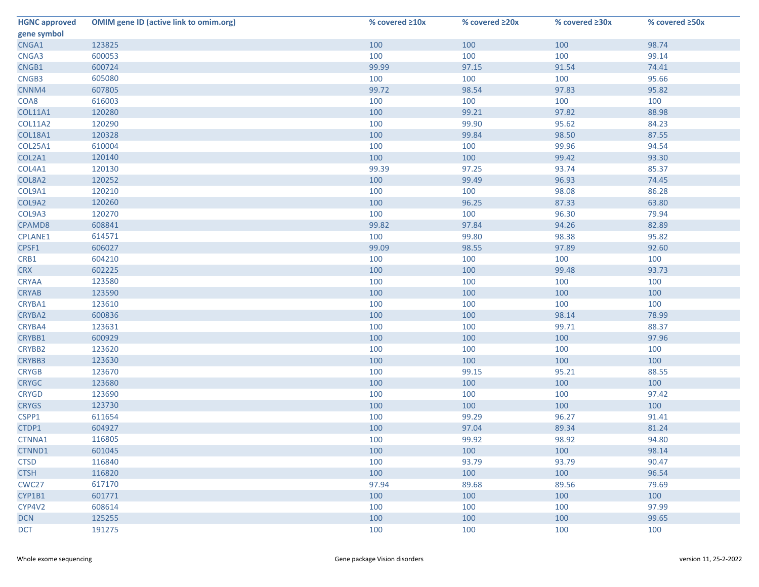| <b>HGNC approved</b> | <b>OMIM gene ID (active link to omim.org)</b> | % covered ≥10x | % covered ≥20x | % covered ≥30x | % covered ≥50x |
|----------------------|-----------------------------------------------|----------------|----------------|----------------|----------------|
| gene symbol          |                                               |                |                |                |                |
| CNGA1                | 123825                                        | 100            | 100            | 100            | 98.74          |
| CNGA3                | 600053                                        | 100            | 100            | 100            | 99.14          |
| CNGB1                | 600724                                        | 99.99          | 97.15          | 91.54          | 74.41          |
| CNGB3                | 605080                                        | 100            | 100            | 100            | 95.66          |
| CNNM4                | 607805                                        | 99.72          | 98.54          | 97.83          | 95.82          |
| COA8                 | 616003                                        | 100            | 100            | 100            | 100            |
| <b>COL11A1</b>       | 120280                                        | 100            | 99.21          | 97.82          | 88.98          |
| <b>COL11A2</b>       | 120290                                        | 100            | 99.90          | 95.62          | 84.23          |
| <b>COL18A1</b>       | 120328                                        | 100            | 99.84          | 98.50          | 87.55          |
| <b>COL25A1</b>       | 610004                                        | 100            | 100            | 99.96          | 94.54          |
| COL2A1               | 120140                                        | 100            | 100            | 99.42          | 93.30          |
| COL4A1               | 120130                                        | 99.39          | 97.25          | 93.74          | 85.37          |
| COL8A2               | 120252                                        | 100            | 99.49          | 96.93          | 74.45          |
| COL9A1               | 120210                                        | 100            | 100            | 98.08          | 86.28          |
| COL9A2               | 120260                                        | 100            | 96.25          | 87.33          | 63.80          |
| COL9A3               | 120270                                        | 100            | 100            | 96.30          | 79.94          |
| CPAMD8               | 608841                                        | 99.82          | 97.84          | 94.26          | 82.89          |
| <b>CPLANE1</b>       | 614571                                        | 100            | 99.80          | 98.38          | 95.82          |
| CPSF1                | 606027                                        | 99.09          | 98.55          | 97.89          | 92.60          |
| CRB1                 | 604210                                        | 100            | 100            | 100            | 100            |
| <b>CRX</b>           | 602225                                        | 100            | 100            | 99.48          | 93.73          |
| <b>CRYAA</b>         | 123580                                        | 100            | 100            | 100            | 100            |
| <b>CRYAB</b>         | 123590                                        | 100            | 100            | 100            | 100            |
| CRYBA1               | 123610                                        | 100            | 100            | 100            | 100            |
| CRYBA2               | 600836                                        | 100            | 100            | 98.14          | 78.99          |
| CRYBA4               | 123631                                        | 100            | 100            | 99.71          | 88.37          |
| CRYBB1               | 600929                                        | 100            | 100            | 100            | 97.96          |
| CRYBB2               | 123620                                        | 100            | 100            | 100            | 100            |
| CRYBB3               | 123630                                        | 100            | 100            | 100            | 100            |
| <b>CRYGB</b>         | 123670                                        | 100            | 99.15          | 95.21          | 88.55          |
| <b>CRYGC</b>         | 123680                                        | 100            | 100            | 100            | 100            |
| <b>CRYGD</b>         | 123690                                        | 100            | 100            | 100            | 97.42          |
| <b>CRYGS</b>         | 123730                                        | 100            | 100            | 100            | 100            |
| CSPP1                | 611654                                        | 100            | 99.29          | 96.27          | 91.41          |
| CTDP1                | 604927                                        | 100            | 97.04          | 89.34          | 81.24          |
| CTNNA1               | 116805                                        | 100            | 99.92          | 98.92          | 94.80          |
| CTNND1               | 601045                                        | 100            | 100            | 100            | 98.14          |
| <b>CTSD</b>          | 116840                                        | 100            | 93.79          | 93.79          | 90.47          |
| <b>CTSH</b>          | 116820                                        | 100            | 100            | 100            | 96.54          |
| CWC <sub>27</sub>    | 617170                                        | 97.94          | 89.68          | 89.56          | 79.69          |
| CYP1B1               | 601771                                        | 100            | 100            | 100            | 100            |
| CYP4V2               | 608614                                        | 100            | 100            | 100            | 97.99          |
| <b>DCN</b>           | 125255                                        | 100            | 100            | 100            | 99.65          |
| <b>DCT</b>           | 191275                                        | 100            | 100            | 100            | 100            |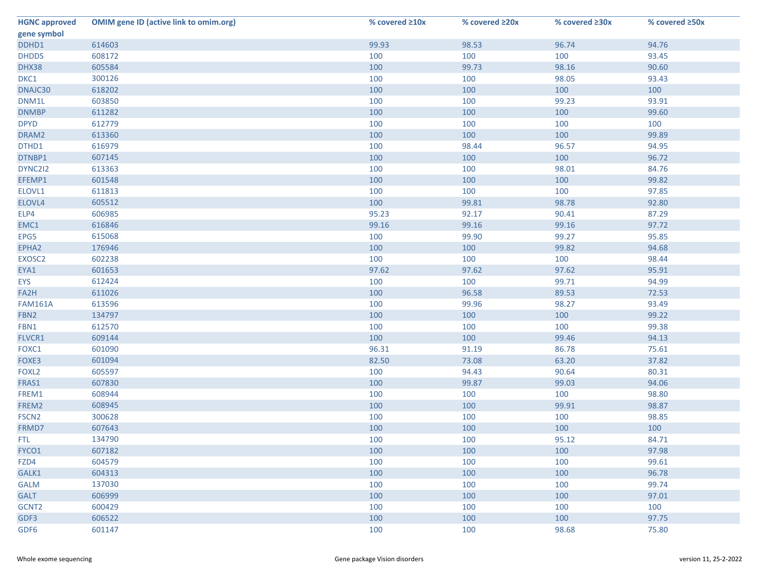| <b>HGNC approved</b> | <b>OMIM gene ID (active link to omim.org)</b> | % covered ≥10x | % covered ≥20x | % covered ≥30x | % covered ≥50x |
|----------------------|-----------------------------------------------|----------------|----------------|----------------|----------------|
| gene symbol          |                                               |                |                |                |                |
| DDHD1                | 614603                                        | 99.93          | 98.53          | 96.74          | 94.76          |
| <b>DHDDS</b>         | 608172                                        | 100            | 100            | 100            | 93.45          |
| DHX38                | 605584                                        | 100            | 99.73          | 98.16          | 90.60          |
| DKC1                 | 300126                                        | 100            | 100            | 98.05          | 93.43          |
| DNAJC30              | 618202                                        | 100            | 100            | 100            | 100            |
| DNM1L                | 603850                                        | 100            | 100            | 99.23          | 93.91          |
| <b>DNMBP</b>         | 611282                                        | 100            | 100            | 100            | 99.60          |
| <b>DPYD</b>          | 612779                                        | 100            | 100            | 100            | 100            |
| DRAM2                | 613360                                        | 100            | 100            | 100            | 99.89          |
| DTHD1                | 616979                                        | 100            | 98.44          | 96.57          | 94.95          |
| DTNBP1               | 607145                                        | 100            | 100            | 100            | 96.72          |
| DYNC2I2              | 613363                                        | 100            | 100            | 98.01          | 84.76          |
| EFEMP1               | 601548                                        | 100            | 100            | 100            | 99.82          |
| ELOVL1               | 611813                                        | 100            | 100            | 100            | 97.85          |
| ELOVL4               | 605512                                        | 100            | 99.81          | 98.78          | 92.80          |
| ELP4                 | 606985                                        | 95.23          | 92.17          | 90.41          | 87.29          |
| EMC1                 | 616846                                        | 99.16          | 99.16          | 99.16          | 97.72          |
| EPG5                 | 615068                                        | 100            | 99.90          | 99.27          | 95.85          |
| EPHA2                | 176946                                        | 100            | 100            | 99.82          | 94.68          |
| EXOSC <sub>2</sub>   | 602238                                        | 100            | 100            | 100            | 98.44          |
| EYA1                 | 601653                                        | 97.62          | 97.62          | 97.62          | 95.91          |
| <b>EYS</b>           | 612424                                        | 100            | 100            | 99.71          | 94.99          |
| FA2H                 | 611026                                        | 100            | 96.58          | 89.53          | 72.53          |
| <b>FAM161A</b>       | 613596                                        | 100            | 99.96          | 98.27          | 93.49          |
| FBN2                 | 134797                                        | 100            | 100            | 100            | 99.22          |
| FBN1                 | 612570                                        | 100            | 100            | 100            | 99.38          |
| FLVCR1               | 609144                                        | 100            | 100            | 99.46          | 94.13          |
| FOXC1                | 601090                                        | 96.31          | 91.19          | 86.78          | 75.61          |
| FOXE3                | 601094                                        | 82.50          | 73.08          | 63.20          | 37.82          |
| FOXL <sub>2</sub>    | 605597                                        | 100            | 94.43          | 90.64          | 80.31          |
| FRAS1                | 607830                                        | 100            | 99.87          | 99.03          | 94.06          |
| FREM1                | 608944                                        | 100            | 100            | 100            | 98.80          |
| FREM2                | 608945                                        | 100            | 100            | 99.91          | 98.87          |
| FSCN <sub>2</sub>    | 300628                                        | 100            | 100            | 100            | 98.85          |
| FRMD7                | 607643                                        | 100            | 100            | 100            | 100            |
| FTL.                 | 134790                                        | 100            | 100            | 95.12          | 84.71          |
| FYCO1                | 607182                                        | 100            | 100            | 100            | 97.98          |
| FZD4                 | 604579                                        | 100            | 100            | 100            | 99.61          |
| GALK1                | 604313                                        | 100            | 100            | 100            | 96.78          |
| <b>GALM</b>          | 137030                                        | 100            | 100            | 100            | 99.74          |
| <b>GALT</b>          | 606999                                        | 100            | 100            | 100            | 97.01          |
| GCNT2                | 600429                                        | 100            | 100            | 100            | 100            |
| GDF3                 | 606522                                        | 100            | 100            | 100            | 97.75          |
| GDF6                 | 601147                                        | 100            | 100            | 98.68          | 75.80          |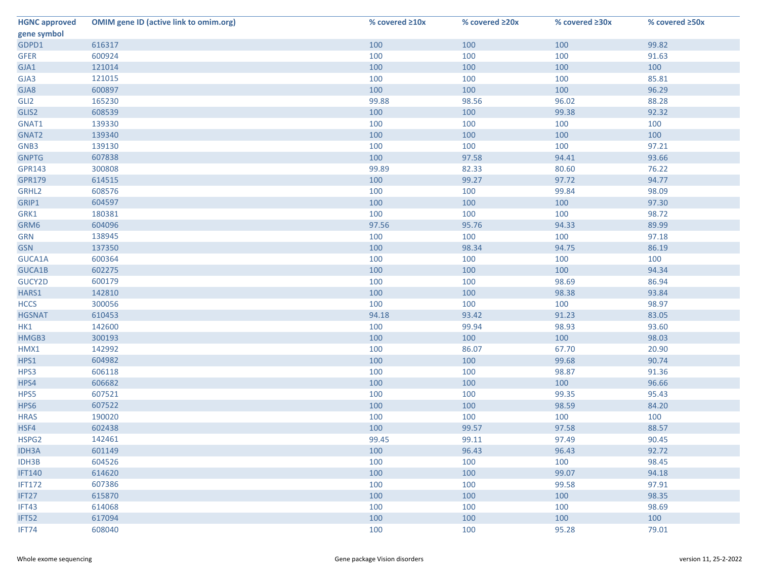| <b>HGNC approved</b> | <b>OMIM gene ID (active link to omim.org)</b> | % covered ≥10x | % covered ≥20x | % covered ≥30x | % covered ≥50x |
|----------------------|-----------------------------------------------|----------------|----------------|----------------|----------------|
| gene symbol          |                                               |                |                |                |                |
| GDPD1                | 616317                                        | 100            | 100            | 100            | 99.82          |
| <b>GFER</b>          | 600924                                        | 100            | 100            | 100            | 91.63          |
| GJA1                 | 121014                                        | 100            | 100            | 100            | 100            |
| GJA3                 | 121015                                        | 100            | 100            | 100            | 85.81          |
| GJA8                 | 600897                                        | 100            | 100            | 100            | 96.29          |
| GLI <sub>2</sub>     | 165230                                        | 99.88          | 98.56          | 96.02          | 88.28          |
| GLIS2                | 608539                                        | 100            | 100            | 99.38          | 92.32          |
| GNAT1                | 139330                                        | 100            | 100            | 100            | 100            |
| GNAT2                | 139340                                        | 100            | 100            | 100            | 100            |
| GNB3                 | 139130                                        | 100            | 100            | 100            | 97.21          |
| <b>GNPTG</b>         | 607838                                        | 100            | 97.58          | 94.41          | 93.66          |
| <b>GPR143</b>        | 300808                                        | 99.89          | 82.33          | 80.60          | 76.22          |
| <b>GPR179</b>        | 614515                                        | 100            | 99.27          | 97.72          | 94.77          |
| GRHL2                | 608576                                        | 100            | 100            | 99.84          | 98.09          |
| GRIP1                | 604597                                        | 100            | 100            | 100            | 97.30          |
| GRK1                 | 180381                                        | 100            | 100            | 100            | 98.72          |
| GRM6                 | 604096                                        | 97.56          | 95.76          | 94.33          | 89.99          |
| <b>GRN</b>           | 138945                                        | 100            | 100            | 100            | 97.18          |
| <b>GSN</b>           | 137350                                        | 100            | 98.34          | 94.75          | 86.19          |
| GUCA1A               | 600364                                        | 100            | 100            | 100            | 100            |
| GUCA1B               | 602275                                        | 100            | 100            | 100            | 94.34          |
| GUCY2D               | 600179                                        | 100            | 100            | 98.69          | 86.94          |
| HARS1                | 142810                                        | 100            | 100            | 98.38          | 93.84          |
| <b>HCCS</b>          | 300056                                        | 100            | 100            | 100            | 98.97          |
| <b>HGSNAT</b>        | 610453                                        | 94.18          | 93.42          | 91.23          | 83.05          |
| HK1                  | 142600                                        | 100            | 99.94          | 98.93          | 93.60          |
| HMGB3                | 300193                                        | 100            | 100            | 100            | 98.03          |
| HMX1                 | 142992                                        | 100            | 86.07          | 67.70          | 20.90          |
| HPS1                 | 604982                                        | 100            | 100            | 99.68          | 90.74          |
| HPS3                 | 606118                                        | 100            | 100            | 98.87          | 91.36          |
| HPS4                 | 606682                                        | 100            | 100            | 100            | 96.66          |
| HPS5                 | 607521                                        | 100            | 100            | 99.35          | 95.43          |
| HPS6                 | 607522                                        | 100            | 100            | 98.59          | 84.20          |
| <b>HRAS</b>          | 190020                                        | 100            | 100            | 100            | 100            |
| HSF4                 | 602438                                        | 100            | 99.57          | 97.58          | 88.57          |
| HSPG2                | 142461                                        | 99.45          | 99.11          | 97.49          | 90.45          |
| <b>IDH3A</b>         | 601149                                        | 100            | 96.43          | 96.43          | 92.72          |
| IDH3B                | 604526                                        | 100            | 100            | 100            | 98.45          |
| <b>IFT140</b>        | 614620                                        | 100            | 100            | 99.07          | 94.18          |
| <b>IFT172</b>        | 607386                                        | 100            | 100            | 99.58          | 97.91          |
| IFT27                | 615870                                        | 100            | 100            | 100            | 98.35          |
| IFT43                | 614068                                        | 100            | 100            | 100            | 98.69          |
| IFT52                | 617094                                        | 100            | 100            | 100            | 100            |
| IFT74                | 608040                                        | 100            | 100            | 95.28          | 79.01          |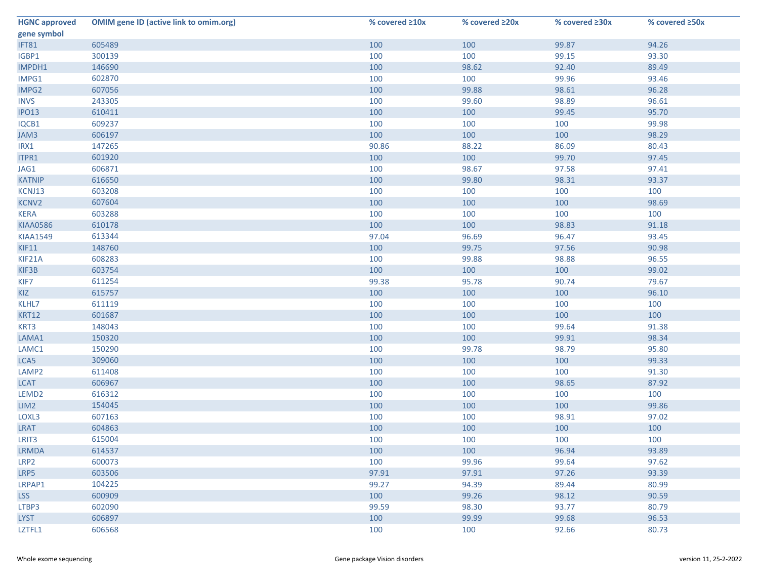| <b>HGNC approved</b> | <b>OMIM gene ID (active link to omim.org)</b> | % covered ≥10x | % covered ≥20x | % covered ≥30x | % covered ≥50x |
|----------------------|-----------------------------------------------|----------------|----------------|----------------|----------------|
| gene symbol          |                                               |                |                |                |                |
| IFT81                | 605489                                        | 100            | 100            | 99.87          | 94.26          |
| IGBP1                | 300139                                        | 100            | 100            | 99.15          | 93.30          |
| IMPDH1               | 146690                                        | 100            | 98.62          | 92.40          | 89.49          |
| IMPG1                | 602870                                        | 100            | 100            | 99.96          | 93.46          |
| IMPG2                | 607056                                        | 100            | 99.88          | 98.61          | 96.28          |
| <b>INVS</b>          | 243305                                        | 100            | 99.60          | 98.89          | 96.61          |
| <b>IPO13</b>         | 610411                                        | 100            | 100            | 99.45          | 95.70          |
| IQCB1                | 609237                                        | 100            | 100            | 100            | 99.98          |
| JAM3                 | 606197                                        | 100            | 100            | 100            | 98.29          |
| IRX1                 | 147265                                        | 90.86          | 88.22          | 86.09          | 80.43          |
| ITPR1                | 601920                                        | 100            | 100            | 99.70          | 97.45          |
| JAG1                 | 606871                                        | 100            | 98.67          | 97.58          | 97.41          |
| <b>KATNIP</b>        | 616650                                        | 100            | 99.80          | 98.31          | 93.37          |
| KCNJ13               | 603208                                        | 100            | 100            | 100            | 100            |
| KCNV2                | 607604                                        | 100            | 100            | 100            | 98.69          |
| <b>KERA</b>          | 603288                                        | 100            | 100            | 100            | 100            |
| <b>KIAA0586</b>      | 610178                                        | 100            | 100            | 98.83          | 91.18          |
| <b>KIAA1549</b>      | 613344                                        | 97.04          | 96.69          | 96.47          | 93.45          |
| KIF11                | 148760                                        | 100            | 99.75          | 97.56          | 90.98          |
| KIF21A               | 608283                                        | 100            | 99.88          | 98.88          | 96.55          |
| KIF3B                | 603754                                        | 100            | 100            | 100            | 99.02          |
| KIF7                 | 611254                                        | 99.38          | 95.78          | 90.74          | 79.67          |
| <b>KIZ</b>           | 615757                                        | 100            | 100            | 100            | 96.10          |
| KLHL7                | 611119                                        | 100            | 100            | 100            | 100            |
| <b>KRT12</b>         | 601687                                        | 100            | 100            | 100            | 100            |
| KRT3                 | 148043                                        | 100            | 100            | 99.64          | 91.38          |
| LAMA1                | 150320                                        | 100            | 100            | 99.91          | 98.34          |
| LAMC1                | 150290                                        | 100            | 99.78          | 98.79          | 95.80          |
| LCA5                 | 309060                                        | 100            | 100            | 100            | 99.33          |
| LAMP <sub>2</sub>    | 611408                                        | 100            | 100            | 100            | 91.30          |
| <b>LCAT</b>          | 606967                                        | 100            | 100            | 98.65          | 87.92          |
| LEMD <sub>2</sub>    | 616312                                        | 100            | 100            | 100            | 100            |
| LIM2                 | 154045                                        | 100            | 100            | 100            | 99.86          |
| LOXL3                | 607163                                        | 100            | 100            | 98.91          | 97.02          |
| LRAT                 | 604863                                        | 100            | 100            | 100            | 100            |
| LRIT <sub>3</sub>    | 615004                                        | 100            | 100            | 100            | 100            |
| <b>LRMDA</b>         | 614537                                        | 100            | 100            | 96.94          | 93.89          |
| LRP2                 | 600073                                        | 100            | 99.96          | 99.64          | 97.62          |
| LRP5                 | 603506                                        | 97.91          | 97.91          | 97.26          | 93.39          |
| LRPAP1               | 104225                                        | 99.27          | 94.39          | 89.44          | 80.99          |
| <b>LSS</b>           | 600909                                        | 100            | 99.26          | 98.12          | 90.59          |
| LTBP3                | 602090                                        | 99.59          | 98.30          | 93.77          | 80.79          |
| <b>LYST</b>          | 606897                                        | 100            | 99.99          | 99.68          | 96.53          |
| LZTFL1               | 606568                                        | 100            | 100            | 92.66          | 80.73          |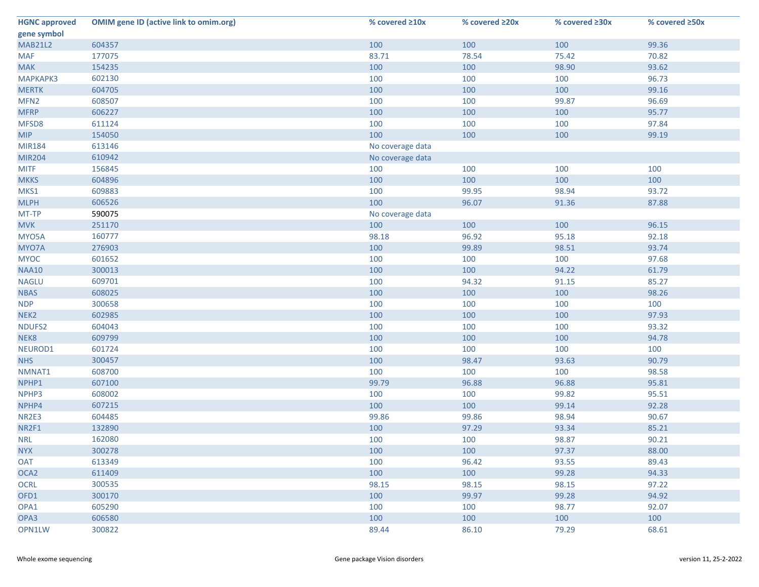| <b>HGNC approved</b> | <b>OMIM gene ID (active link to omim.org)</b> | % covered ≥10x   | % covered ≥20x | % covered ≥30x | % covered ≥50x |
|----------------------|-----------------------------------------------|------------------|----------------|----------------|----------------|
| gene symbol          |                                               |                  |                |                |                |
| <b>MAB21L2</b>       | 604357                                        | 100              | 100            | 100            | 99.36          |
| <b>MAF</b>           | 177075                                        | 83.71            | 78.54          | 75.42          | 70.82          |
| <b>MAK</b>           | 154235                                        | 100              | 100            | 98.90          | 93.62          |
| <b>МАРКАРКЗ</b>      | 602130                                        | 100              | 100            | 100            | 96.73          |
| <b>MERTK</b>         | 604705                                        | 100              | 100            | 100            | 99.16          |
| MFN <sub>2</sub>     | 608507                                        | 100              | 100            | 99.87          | 96.69          |
| <b>MFRP</b>          | 606227                                        | 100              | 100            | 100            | 95.77          |
| MFSD8                | 611124                                        | 100              | 100            | 100            | 97.84          |
| <b>MIP</b>           | 154050                                        | 100              | 100            | 100            | 99.19          |
| <b>MIR184</b>        | 613146                                        | No coverage data |                |                |                |
| <b>MIR204</b>        | 610942                                        | No coverage data |                |                |                |
| <b>MITF</b>          | 156845                                        | 100              | 100            | 100            | 100            |
| <b>MKKS</b>          | 604896                                        | 100              | 100            | 100            | 100            |
| MKS1                 | 609883                                        | 100              | 99.95          | 98.94          | 93.72          |
| <b>MLPH</b>          | 606526                                        | 100              | 96.07          | 91.36          | 87.88          |
| MT-TP                | 590075                                        | No coverage data |                |                |                |
| <b>MVK</b>           | 251170                                        | 100              | 100            | 100            | 96.15          |
| MYO5A                | 160777                                        | 98.18            | 96.92          | 95.18          | 92.18          |
| MYO7A                | 276903                                        | 100              | 99.89          | 98.51          | 93.74          |
| <b>MYOC</b>          | 601652                                        | 100              | 100            | 100            | 97.68          |
| <b>NAA10</b>         | 300013                                        | 100              | 100            | 94.22          | 61.79          |
| <b>NAGLU</b>         | 609701                                        | 100              | 94.32          | 91.15          | 85.27          |
| <b>NBAS</b>          | 608025                                        | 100              | 100            | 100            | 98.26          |
| <b>NDP</b>           | 300658                                        | 100              | 100            | 100            | 100            |
| NEK <sub>2</sub>     | 602985                                        | 100              | 100            | 100            | 97.93          |
| NDUFS2               | 604043                                        | 100              | 100            | 100            | 93.32          |
| NEK8                 | 609799                                        | 100              | 100            | 100            | 94.78          |
| NEUROD1              | 601724                                        | 100              | 100            | 100            | 100            |
| <b>NHS</b>           | 300457                                        | 100              | 98.47          | 93.63          | 90.79          |
| NMNAT1               | 608700                                        | 100              | 100            | 100            | 98.58          |
| NPHP1                | 607100                                        | 99.79            | 96.88          | 96.88          | 95.81          |
| NPHP3                | 608002                                        | 100              | 100            | 99.82          | 95.51          |
| NPHP4                | 607215                                        | 100              | 100            | 99.14          | 92.28          |
| NR2E3                | 604485                                        | 99.86            | 99.86          | 98.94          | 90.67          |
| NR2F1                | 132890                                        | 100              | 97.29          | 93.34          | 85.21          |
| <b>NRL</b>           | 162080                                        | 100              | 100            | 98.87          | 90.21          |
| <b>NYX</b>           | 300278                                        | 100              | 100            | 97.37          | 88.00          |
| <b>OAT</b>           | 613349                                        | 100              | 96.42          | 93.55          | 89.43          |
| OCA <sub>2</sub>     | 611409                                        | 100              | 100            | 99.28          | 94.33          |
| <b>OCRL</b>          | 300535                                        | 98.15            | 98.15          | 98.15          | 97.22          |
| OFD1                 | 300170                                        | 100              | 99.97          | 99.28          | 94.92          |
| OPA1                 | 605290                                        | 100              | 100            | 98.77          | 92.07          |
| OPA3                 | 606580                                        | 100              | 100            | 100            | 100            |
| OPN1LW               | 300822                                        | 89.44            | 86.10          | 79.29          | 68.61          |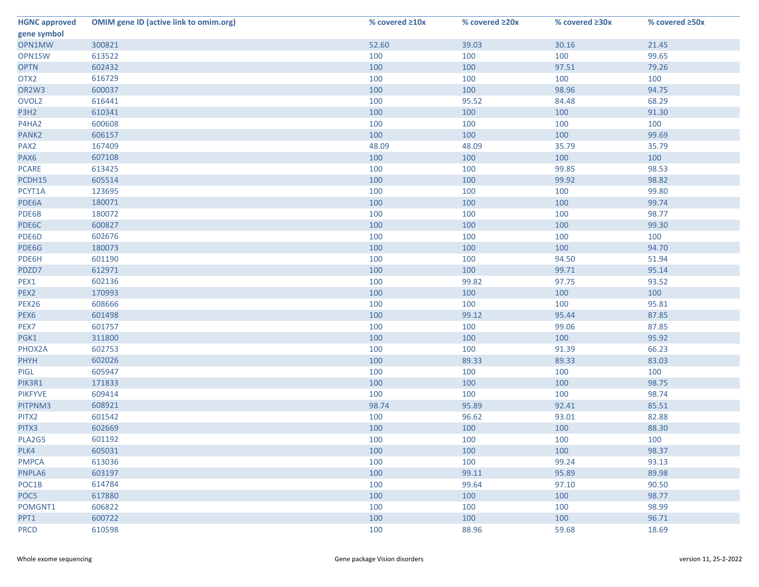| <b>HGNC approved</b> | <b>OMIM gene ID (active link to omim.org)</b> | % covered ≥10x | % covered ≥20x | % covered ≥30x | % covered ≥50x |
|----------------------|-----------------------------------------------|----------------|----------------|----------------|----------------|
| gene symbol          |                                               |                |                |                |                |
| OPN1MW               | 300821                                        | 52.60          | 39.03          | 30.16          | 21.45          |
| OPN1SW               | 613522                                        | 100            | 100            | 100            | 99.65          |
| <b>OPTN</b>          | 602432                                        | 100            | 100            | 97.51          | 79.26          |
| OTX <sub>2</sub>     | 616729                                        | 100            | 100            | 100            | 100            |
| OR2W3                | 600037                                        | 100            | 100            | 98.96          | 94.75          |
| OVOL <sub>2</sub>    | 616441                                        | 100            | 95.52          | 84.48          | 68.29          |
| P3H2                 | 610341                                        | 100            | 100            | 100            | 91.30          |
| P4HA2                | 600608                                        | 100            | 100            | 100            | 100            |
| PANK <sub>2</sub>    | 606157                                        | 100            | 100            | 100            | 99.69          |
| PAX <sub>2</sub>     | 167409                                        | 48.09          | 48.09          | 35.79          | 35.79          |
| PAX6                 | 607108                                        | 100            | 100            | 100            | 100            |
| <b>PCARE</b>         | 613425                                        | 100            | 100            | 99.85          | 98.53          |
| PCDH15               | 605514                                        | 100            | 100            | 99.92          | 98.82          |
| PCYT1A               | 123695                                        | 100            | 100            | 100            | 99.80          |
| PDE6A                | 180071                                        | 100            | 100            | 100            | 99.74          |
| PDE6B                | 180072                                        | 100            | 100            | 100            | 98.77          |
| PDE6C                | 600827                                        | 100            | 100            | 100            | 99.30          |
| PDE6D                | 602676                                        | 100            | 100            | 100            | 100            |
| PDE6G                | 180073                                        | 100            | 100            | 100            | 94.70          |
| PDE6H                | 601190                                        | 100            | 100            | 94.50          | 51.94          |
| PDZD7                | 612971                                        | 100            | 100            | 99.71          | 95.14          |
| PEX1                 | 602136                                        | 100            | 99.82          | 97.75          | 93.52          |
| PEX2                 | 170993                                        | 100            | 100            | 100            | 100            |
| PEX26                | 608666                                        | 100            | 100            | 100            | 95.81          |
| PEX6                 | 601498                                        | 100            | 99.12          | 95.44          | 87.85          |
| PEX7                 | 601757                                        | 100            | 100            | 99.06          | 87.85          |
| PGK1                 | 311800                                        | 100            | 100            | 100            | 95.92          |
| PHOX2A               | 602753                                        | 100            | 100            | 91.39          | 66.23          |
| <b>PHYH</b>          | 602026                                        | 100            | 89.33          | 89.33          | 83.03          |
| <b>PIGL</b>          | 605947                                        | 100            | 100            | 100            | 100            |
| PIK3R1               | 171833                                        | 100            | 100            | 100            | 98.75          |
| <b>PIKFYVE</b>       | 609414                                        | 100            | 100            | 100            | 98.74          |
| PITPNM3              | 608921                                        | 98.74          | 95.89          | 92.41          | 85.51          |
| PITX2                | 601542                                        | 100            | 96.62          | 93.01          | 82.88          |
| PITX3                | 602669                                        | 100            | 100            | 100            | 88.30          |
| PLA2G5               | 601192                                        | 100            | 100            | 100            | 100            |
| PLK4                 | 605031                                        | 100            | 100            | 100            | 98.37          |
| <b>PMPCA</b>         | 613036                                        | 100            | 100            | 99.24          | 93.13          |
| PNPLA6               | 603197                                        | 100            | 99.11          | 95.89          | 89.98          |
| POC1B                | 614784                                        | 100            | 99.64          | 97.10          | 90.50          |
| POC5                 | 617880                                        | 100            | 100            | 100            | 98.77          |
| POMGNT1              | 606822                                        | 100            | 100            | 100            | 98.99          |
| PPT1                 | 600722                                        | 100            | 100            | 100            | 96.71          |
| <b>PRCD</b>          | 610598                                        | 100            | 88.96          | 59.68          | 18.69          |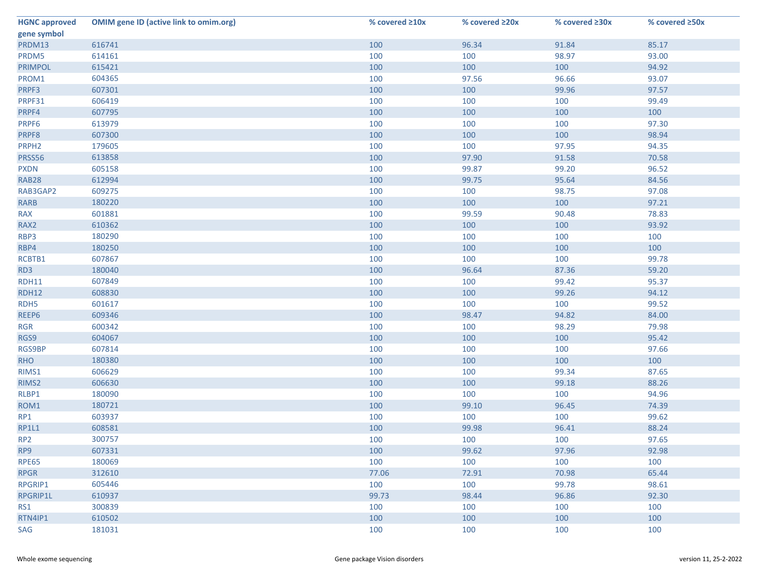| <b>HGNC approved</b> | <b>OMIM gene ID (active link to omim.org)</b> | % covered ≥10x | % covered ≥20x | % covered ≥30x | % covered ≥50x |
|----------------------|-----------------------------------------------|----------------|----------------|----------------|----------------|
| gene symbol          |                                               |                |                |                |                |
| PRDM13               | 616741                                        | 100            | 96.34          | 91.84          | 85.17          |
| PRDM5                | 614161                                        | 100            | 100            | 98.97          | 93.00          |
| <b>PRIMPOL</b>       | 615421                                        | 100            | 100            | 100            | 94.92          |
| PROM1                | 604365                                        | 100            | 97.56          | 96.66          | 93.07          |
| PRPF3                | 607301                                        | 100            | 100            | 99.96          | 97.57          |
| PRPF31               | 606419                                        | 100            | 100            | 100            | 99.49          |
| PRPF4                | 607795                                        | 100            | 100            | 100            | 100            |
| PRPF6                | 613979                                        | 100            | 100            | 100            | 97.30          |
| PRPF8                | 607300                                        | 100            | 100            | 100            | 98.94          |
| PRPH <sub>2</sub>    | 179605                                        | 100            | 100            | 97.95          | 94.35          |
| PRSS56               | 613858                                        | 100            | 97.90          | 91.58          | 70.58          |
| <b>PXDN</b>          | 605158                                        | 100            | 99.87          | 99.20          | 96.52          |
| <b>RAB28</b>         | 612994                                        | 100            | 99.75          | 95.64          | 84.56          |
| RAB3GAP2             | 609275                                        | 100            | 100            | 98.75          | 97.08          |
| <b>RARB</b>          | 180220                                        | 100            | 100            | 100            | 97.21          |
| <b>RAX</b>           | 601881                                        | 100            | 99.59          | 90.48          | 78.83          |
| RAX2                 | 610362                                        | 100            | 100            | 100            | 93.92          |
| RBP3                 | 180290                                        | 100            | 100            | 100            | 100            |
| RBP4                 | 180250                                        | 100            | 100            | 100            | 100            |
| RCBTB1               | 607867                                        | 100            | 100            | 100            | 99.78          |
| RD3                  | 180040                                        | 100            | 96.64          | 87.36          | 59.20          |
| <b>RDH11</b>         | 607849                                        | 100            | 100            | 99.42          | 95.37          |
| <b>RDH12</b>         | 608830                                        | 100            | 100            | 99.26          | 94.12          |
| RDH <sub>5</sub>     | 601617                                        | 100            | 100            | 100            | 99.52          |
| REEP6                | 609346                                        | 100            | 98.47          | 94.82          | 84.00          |
| <b>RGR</b>           | 600342                                        | 100            | 100            | 98.29          | 79.98          |
| RGS9                 | 604067                                        | 100            | 100            | 100            | 95.42          |
| RGS9BP               | 607814                                        | 100            | 100            | 100            | 97.66          |
| <b>RHO</b>           | 180380                                        | 100            | 100            | 100            | 100            |
| RIMS1                | 606629                                        | 100            | 100            | 99.34          | 87.65          |
| RIMS2                | 606630                                        | 100            | 100            | 99.18          | 88.26          |
| RLBP1                | 180090                                        | 100            | 100            | 100            | 94.96          |
| ROM1                 | 180721                                        | 100            | 99.10          | 96.45          | 74.39          |
| RP1                  | 603937                                        | 100            | 100            | 100            | 99.62          |
| RP1L1                | 608581                                        | 100            | 99.98          | 96.41          | 88.24          |
| RP <sub>2</sub>      | 300757                                        | 100            | 100            | 100            | 97.65          |
| RP9                  | 607331                                        | 100            | 99.62          | 97.96          | 92.98          |
| <b>RPE65</b>         | 180069                                        | 100            | 100            | 100            | 100            |
| <b>RPGR</b>          | 312610                                        | 77.06          | 72.91          | 70.98          | 65.44          |
| RPGRIP1              | 605446                                        | 100            | 100            | 99.78          | 98.61          |
| RPGRIP1L             | 610937                                        | 99.73          | 98.44          | 96.86          | 92.30          |
| RS1                  | 300839                                        | 100            | 100            | 100            | 100            |
| RTN4IP1              | 610502                                        | 100            | 100            | 100            | 100            |
| SAG                  | 181031                                        | 100            | 100            | 100            | 100            |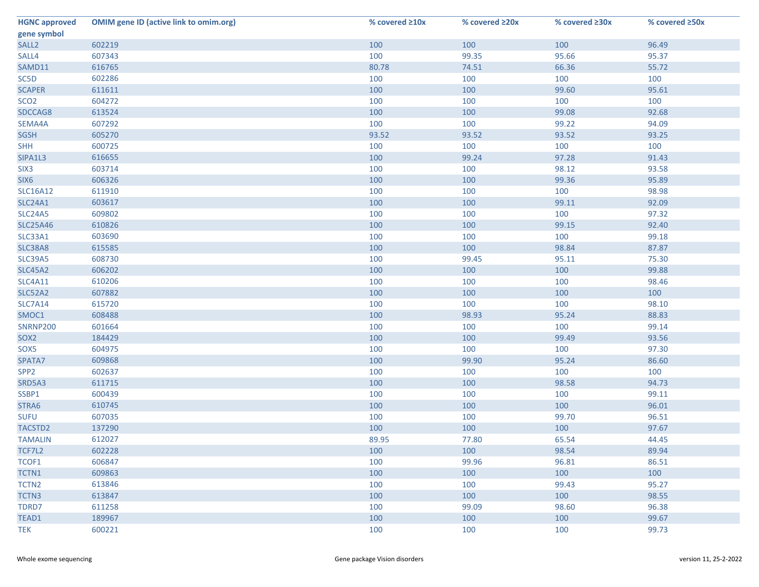| <b>HGNC approved</b> | <b>OMIM gene ID (active link to omim.org)</b> | % covered ≥10x | % covered ≥20x | % covered ≥30x | % covered ≥50x |
|----------------------|-----------------------------------------------|----------------|----------------|----------------|----------------|
| gene symbol          |                                               |                |                |                |                |
| SALL <sub>2</sub>    | 602219                                        | 100            | 100            | 100            | 96.49          |
| SALL4                | 607343                                        | 100            | 99.35          | 95.66          | 95.37          |
| SAMD11               | 616765                                        | 80.78          | 74.51          | 66.36          | 55.72          |
| SC5D                 | 602286                                        | 100            | 100            | 100            | 100            |
| <b>SCAPER</b>        | 611611                                        | 100            | 100            | 99.60          | 95.61          |
| SCO <sub>2</sub>     | 604272                                        | 100            | 100            | 100            | 100            |
| SDCCAG8              | 613524                                        | 100            | 100            | 99.08          | 92.68          |
| SEMA4A               | 607292                                        | 100            | 100            | 99.22          | 94.09          |
| <b>SGSH</b>          | 605270                                        | 93.52          | 93.52          | 93.52          | 93.25          |
| <b>SHH</b>           | 600725                                        | 100            | 100            | 100            | 100            |
| SIPA1L3              | 616655                                        | 100            | 99.24          | 97.28          | 91.43          |
| SIX <sub>3</sub>     | 603714                                        | 100            | 100            | 98.12          | 93.58          |
| SIX6                 | 606326                                        | 100            | 100            | 99.36          | 95.89          |
| <b>SLC16A12</b>      | 611910                                        | 100            | 100            | 100            | 98.98          |
| <b>SLC24A1</b>       | 603617                                        | 100            | 100            | 99.11          | 92.09          |
| <b>SLC24A5</b>       | 609802                                        | 100            | 100            | 100            | 97.32          |
| <b>SLC25A46</b>      | 610826                                        | 100            | 100            | 99.15          | 92.40          |
| SLC33A1              | 603690                                        | 100            | 100            | 100            | 99.18          |
| SLC38A8              | 615585                                        | 100            | 100            | 98.84          | 87.87          |
| <b>SLC39A5</b>       | 608730                                        | 100            | 99.45          | 95.11          | 75.30          |
| <b>SLC45A2</b>       | 606202                                        | 100            | 100            | 100            | 99.88          |
| <b>SLC4A11</b>       | 610206                                        | 100            | 100            | 100            | 98.46          |
| <b>SLC52A2</b>       | 607882                                        | 100            | 100            | 100            | 100            |
| <b>SLC7A14</b>       | 615720                                        | 100            | 100            | 100            | 98.10          |
| SMOC1                | 608488                                        | 100            | 98.93          | 95.24          | 88.83          |
| <b>SNRNP200</b>      | 601664                                        | 100            | 100            | 100            | 99.14          |
| SOX <sub>2</sub>     | 184429                                        | 100            | 100            | 99.49          | 93.56          |
| SOX5                 | 604975                                        | 100            | 100            | 100            | 97.30          |
| SPATA7               | 609868                                        | 100            | 99.90          | 95.24          | 86.60          |
| SPP <sub>2</sub>     | 602637                                        | 100            | 100            | 100            | 100            |
| SRD5A3               | 611715                                        | 100            | 100            | 98.58          | 94.73          |
| SSBP1                | 600439                                        | 100            | 100            | 100            | 99.11          |
| STRA6                | 610745                                        | 100            | 100            | 100            | 96.01          |
| <b>SUFU</b>          | 607035                                        | 100            | 100            | 99.70          | 96.51          |
| TACSTD2              | 137290                                        | 100            | 100            | 100            | 97.67          |
| <b>TAMALIN</b>       | 612027                                        | 89.95          | 77.80          | 65.54          | 44.45          |
| TCF7L2               | 602228                                        | 100            | 100            | 98.54          | 89.94          |
| TCOF1                | 606847                                        | 100            | 99.96          | 96.81          | 86.51          |
| TCTN1                | 609863                                        | 100            | 100            | 100            | 100            |
| TCTN <sub>2</sub>    | 613846                                        | 100            | 100            | 99.43          | 95.27          |
| TCTN3                | 613847                                        | 100            | 100            | 100            | 98.55          |
| TDRD7                | 611258                                        | 100            | 99.09          | 98.60          | 96.38          |
| TEAD1                | 189967                                        | 100            | 100            | 100            | 99.67          |
| <b>TEK</b>           | 600221                                        | 100            | 100            | 100            | 99.73          |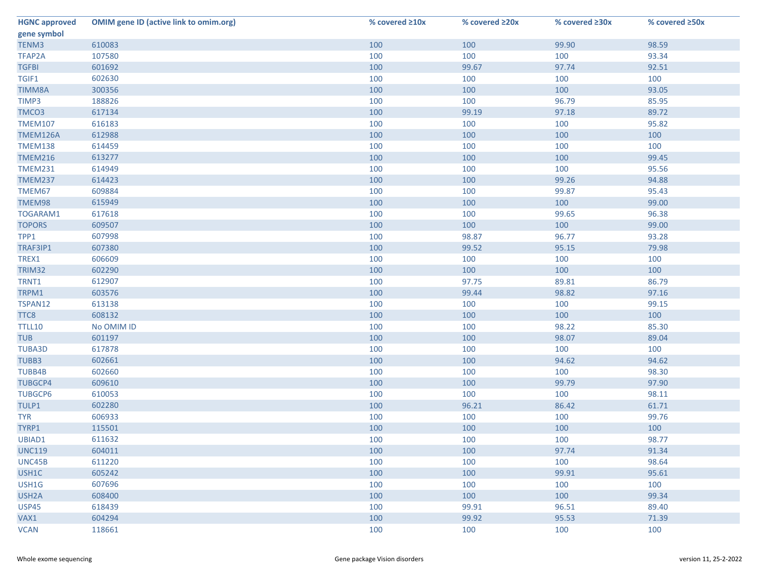| <b>HGNC approved</b> | <b>OMIM gene ID (active link to omim.org)</b> | % covered ≥10x | % covered ≥20x | % covered ≥30x | % covered ≥50x |
|----------------------|-----------------------------------------------|----------------|----------------|----------------|----------------|
| gene symbol          |                                               |                |                |                |                |
| TENM3                | 610083                                        | 100            | 100            | 99.90          | 98.59          |
| TFAP2A               | 107580                                        | 100            | 100            | 100            | 93.34          |
| <b>TGFBI</b>         | 601692                                        | 100            | 99.67          | 97.74          | 92.51          |
| TGIF1                | 602630                                        | 100            | 100            | 100            | 100            |
| <b>TIMM8A</b>        | 300356                                        | 100            | 100            | 100            | 93.05          |
| TIMP3                | 188826                                        | 100            | 100            | 96.79          | 85.95          |
| TMCO <sub>3</sub>    | 617134                                        | 100            | 99.19          | 97.18          | 89.72          |
| <b>TMEM107</b>       | 616183                                        | 100            | 100            | 100            | 95.82          |
| TMEM126A             | 612988                                        | 100            | 100            | 100            | 100            |
| <b>TMEM138</b>       | 614459                                        | 100            | 100            | 100            | 100            |
| <b>TMEM216</b>       | 613277                                        | 100            | 100            | 100            | 99.45          |
| <b>TMEM231</b>       | 614949                                        | 100            | 100            | 100            | 95.56          |
| <b>TMEM237</b>       | 614423                                        | 100            | 100            | 99.26          | 94.88          |
| TMEM67               | 609884                                        | 100            | 100            | 99.87          | 95.43          |
| TMEM98               | 615949                                        | 100            | 100            | 100            | 99.00          |
| TOGARAM1             | 617618                                        | 100            | 100            | 99.65          | 96.38          |
| <b>TOPORS</b>        | 609507                                        | 100            | 100            | 100            | 99.00          |
| TPP1                 | 607998                                        | 100            | 98.87          | 96.77          | 93.28          |
| TRAF3IP1             | 607380                                        | 100            | 99.52          | 95.15          | 79.98          |
| TREX1                | 606609                                        | 100            | 100            | 100            | 100            |
| TRIM32               | 602290                                        | 100            | 100            | 100            | 100            |
| TRNT1                | 612907                                        | 100            | 97.75          | 89.81          | 86.79          |
| TRPM1                | 603576                                        | 100            | 99.44          | 98.82          | 97.16          |
| TSPAN12              | 613138                                        | 100            | 100            | 100            | 99.15          |
| TTC8                 | 608132                                        | 100            | 100            | 100            | 100            |
| <b>TTLL10</b>        | No OMIM ID                                    | 100            | 100            | 98.22          | 85.30          |
| <b>TUB</b>           | 601197                                        | 100            | 100            | 98.07          | 89.04          |
| <b>TUBA3D</b>        | 617878                                        | 100            | 100            | 100            | 100            |
| TUBB3                | 602661                                        | 100            | 100            | 94.62          | 94.62          |
| TUBB4B               | 602660                                        | 100            | 100            | 100            | 98.30          |
| <b>TUBGCP4</b>       | 609610                                        | 100            | 100            | 99.79          | 97.90          |
| <b>TUBGCP6</b>       | 610053                                        | 100            | 100            | 100            | 98.11          |
| TULP1                | 602280                                        | 100            | 96.21          | 86.42          | 61.71          |
| <b>TYR</b>           | 606933                                        | 100            | 100            | 100            | 99.76          |
| TYRP1                | 115501                                        | 100            | 100            | 100            | 100            |
| UBIAD1               | 611632                                        | 100            | 100            | 100            | 98.77          |
| <b>UNC119</b>        | 604011                                        | 100            | 100            | 97.74          | 91.34          |
| UNC45B               | 611220                                        | 100            | 100            | 100            | 98.64          |
| USH1C                | 605242                                        | 100            | 100            | 99.91          | 95.61          |
| USH1G                | 607696                                        | 100            | 100            | 100            | 100            |
| USH <sub>2</sub> A   | 608400                                        | 100            | 100            | 100            | 99.34          |
| <b>USP45</b>         | 618439                                        | 100            | 99.91          | 96.51          | 89.40          |
| VAX1                 | 604294                                        | 100            | 99.92          | 95.53          | 71.39          |
| <b>VCAN</b>          | 118661                                        | 100            | 100            | 100            | 100            |